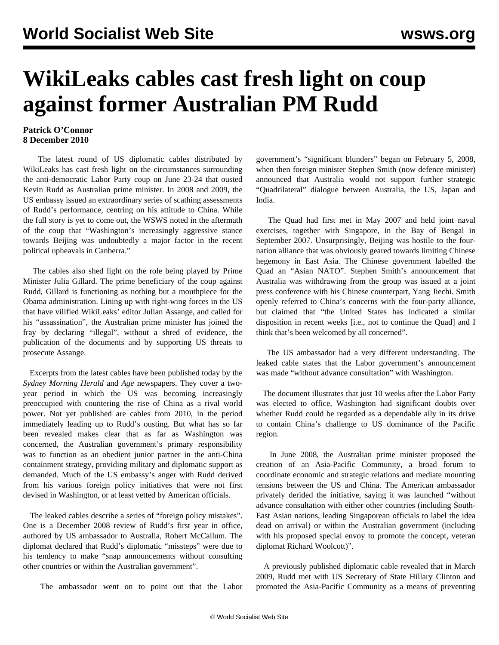## **WikiLeaks cables cast fresh light on coup against former Australian PM Rudd**

## **Patrick O'Connor 8 December 2010**

 The latest round of US diplomatic cables distributed by WikiLeaks has cast fresh light on the circumstances surrounding the anti-democratic Labor Party coup on June 23-24 that ousted Kevin Rudd as Australian prime minister. In 2008 and 2009, the US embassy issued an extraordinary series of scathing assessments of Rudd's performance, centring on his attitude to China. While the full story is yet to come out, the WSWS noted in the aftermath of the coup that "Washington's increasingly aggressive stance towards Beijing was undoubtedly a major factor in the recent political upheavals in Canberra."

 The cables also shed light on the role being played by Prime Minister Julia Gillard. The prime beneficiary of the coup against Rudd, Gillard is functioning as nothing but a mouthpiece for the Obama administration. Lining up with right-wing forces in the US that have vilified WikiLeaks' editor Julian Assange, and called for his "assassination", the Australian prime minister has joined the fray by declaring "illegal", without a shred of evidence, the publication of the documents and by supporting US threats to prosecute Assange.

 Excerpts from the latest cables have been published today by the *Sydney Morning Herald* and *Age* newspapers. They cover a twoyear period in which the US was becoming increasingly preoccupied with countering the rise of China as a rival world power. Not yet published are cables from 2010, in the period immediately leading up to Rudd's ousting. But what has so far been revealed makes clear that as far as Washington was concerned, the Australian government's primary responsibility was to function as an obedient junior partner in the anti-China containment strategy, providing military and diplomatic support as demanded. Much of the US embassy's anger with Rudd derived from his various foreign policy initiatives that were not first devised in Washington, or at least vetted by American officials.

 The leaked cables describe a series of "foreign policy mistakes". One is a December 2008 review of Rudd's first year in office, authored by US ambassador to Australia, Robert McCallum. The diplomat declared that Rudd's diplomatic "missteps" were due to his tendency to make "snap announcements without consulting other countries or within the Australian government".

The ambassador went on to point out that the Labor

government's "significant blunders" began on February 5, 2008, when then foreign minister Stephen Smith (now defence minister) announced that Australia would not support further strategic "Quadrilateral" dialogue between Australia, the US, Japan and India.

 The Quad had first met in May 2007 and held joint naval exercises, together with Singapore, in the Bay of Bengal in September 2007. Unsurprisingly, Beijing was hostile to the fournation alliance that was obviously geared towards limiting Chinese hegemony in East Asia. The Chinese government labelled the Quad an "Asian NATO". Stephen Smith's announcement that Australia was withdrawing from the group was issued at a joint press conference with his Chinese counterpart, Yang Jiechi. Smith openly referred to China's concerns with the four-party alliance, but claimed that "the United States has indicated a similar disposition in recent weeks [i.e., not to continue the Quad] and I think that's been welcomed by all concerned".

 The US ambassador had a very different understanding. The leaked cable states that the Labor government's announcement was made "without advance consultation" with Washington.

 The document illustrates that just 10 weeks after the Labor Party was elected to office, Washington had significant doubts over whether Rudd could be regarded as a dependable ally in its drive to contain China's challenge to US dominance of the Pacific region.

 In June 2008, the Australian prime minister proposed the creation of an Asia-Pacific Community, a broad forum to coordinate economic and strategic relations and mediate mounting tensions between the US and China. The American ambassador privately derided the initiative, saying it was launched "without advance consultation with either other countries (including South-East Asian nations, leading Singaporean officials to label the idea dead on arrival) or within the Australian government (including with his proposed special envoy to promote the concept, veteran diplomat Richard Woolcott)".

 A previously published diplomatic cable revealed that in March 2009, Rudd met with US Secretary of State Hillary Clinton and promoted the Asia-Pacific Community as a means of preventing